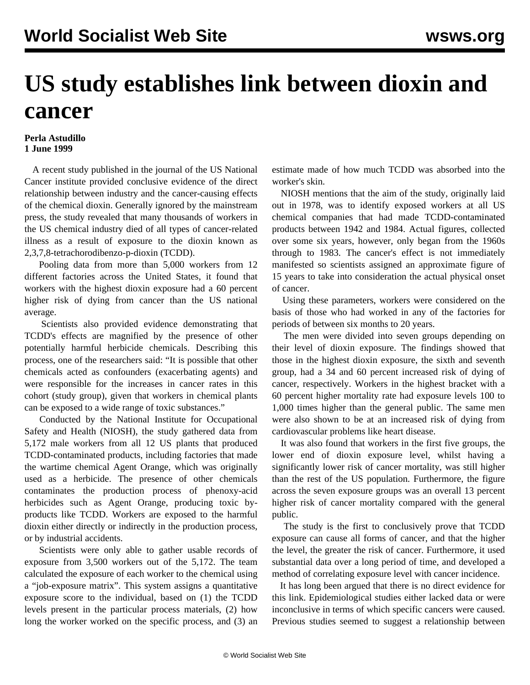## **US study establishes link between dioxin and cancer**

## **Perla Astudillo 1 June 1999**

 A recent study published in the journal of the US National Cancer institute provided conclusive evidence of the direct relationship between industry and the cancer-causing effects of the chemical dioxin. Generally ignored by the mainstream press, the study revealed that many thousands of workers in the US chemical industry died of all types of cancer-related illness as a result of exposure to the dioxin known as 2,3,7,8-tetrachorodibenzo-p-dioxin (TCDD).

 Pooling data from more than 5,000 workers from 12 different factories across the United States, it found that workers with the highest dioxin exposure had a 60 percent higher risk of dying from cancer than the US national average.

 Scientists also provided evidence demonstrating that TCDD's effects are magnified by the presence of other potentially harmful herbicide chemicals. Describing this process, one of the researchers said: "It is possible that other chemicals acted as confounders (exacerbating agents) and were responsible for the increases in cancer rates in this cohort (study group), given that workers in chemical plants can be exposed to a wide range of toxic substances."

 Conducted by the National Institute for Occupational Safety and Health (NIOSH), the study gathered data from 5,172 male workers from all 12 US plants that produced TCDD-contaminated products, including factories that made the wartime chemical Agent Orange, which was originally used as a herbicide. The presence of other chemicals contaminates the production process of phenoxy-acid herbicides such as Agent Orange, producing toxic byproducts like TCDD. Workers are exposed to the harmful dioxin either directly or indirectly in the production process, or by industrial accidents.

 Scientists were only able to gather usable records of exposure from 3,500 workers out of the 5,172. The team calculated the exposure of each worker to the chemical using a "job-exposure matrix". This system assigns a quantitative exposure score to the individual, based on (1) the TCDD levels present in the particular process materials, (2) how long the worker worked on the specific process, and (3) an estimate made of how much TCDD was absorbed into the worker's skin.

 NIOSH mentions that the aim of the study, originally laid out in 1978, was to identify exposed workers at all US chemical companies that had made TCDD-contaminated products between 1942 and 1984. Actual figures, collected over some six years, however, only began from the 1960s through to 1983. The cancer's effect is not immediately manifested so scientists assigned an approximate figure of 15 years to take into consideration the actual physical onset of cancer.

 Using these parameters, workers were considered on the basis of those who had worked in any of the factories for periods of between six months to 20 years.

 The men were divided into seven groups depending on their level of dioxin exposure. The findings showed that those in the highest dioxin exposure, the sixth and seventh group, had a 34 and 60 percent increased risk of dying of cancer, respectively. Workers in the highest bracket with a 60 percent higher mortality rate had exposure levels 100 to 1,000 times higher than the general public. The same men were also shown to be at an increased risk of dying from cardiovascular problems like heart disease.

 It was also found that workers in the first five groups, the lower end of dioxin exposure level, whilst having a significantly lower risk of cancer mortality, was still higher than the rest of the US population. Furthermore, the figure across the seven exposure groups was an overall 13 percent higher risk of cancer mortality compared with the general public.

 The study is the first to conclusively prove that TCDD exposure can cause all forms of cancer, and that the higher the level, the greater the risk of cancer. Furthermore, it used substantial data over a long period of time, and developed a method of correlating exposure level with cancer incidence.

 It has long been argued that there is no direct evidence for this link. Epidemiological studies either lacked data or were inconclusive in terms of which specific cancers were caused. Previous studies seemed to suggest a relationship between